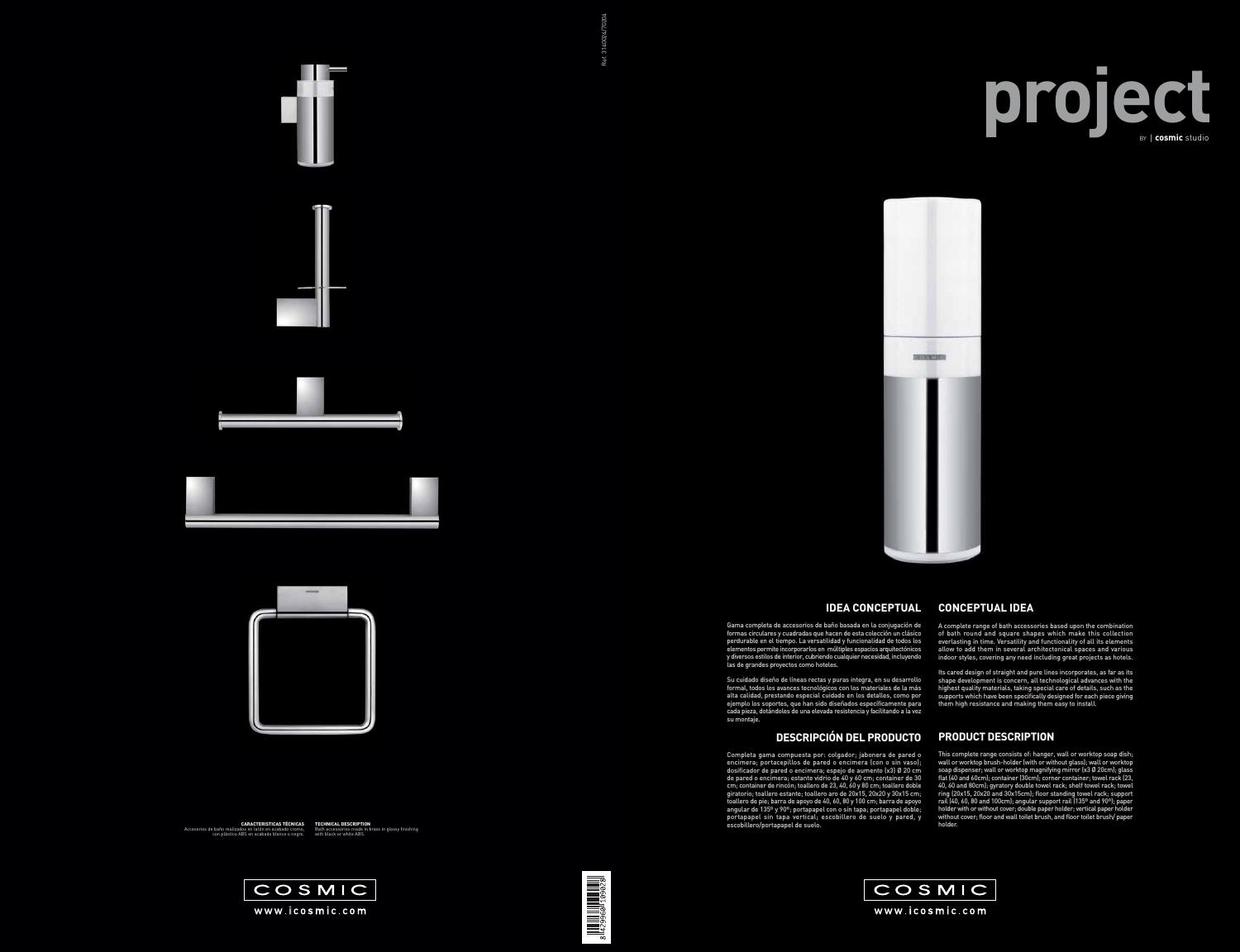



## **IDEA CONCEPTUAL**

Su cuidado diseño de líneas rectas y puras integra, en su desarrollo formal, todos los avances tecnológicos con los materiales de la más alta calidad, prestando especial cuidado en los detalles, como por plo los soportes, que han sido diseñados específicamente para cada pieza, dotándoles de una elevada resistencia y facilitando a la vez su montaje. is rectas y puras integra, en su desarrollo<br>tecnológicos con los materiales de la más<br>pecial cuidado en los detalles, como por<br>han sido diseñados específicamente para

Gama completa de accesorios de baño basada en la conjugación de formas circulares y cuadradas que hacen de esta colección un clásico perdurable en el tiempo. La versatilidad y funcionalidad de todos los elementos permite incorporarlos en múltiples espacios arquitectónicos y diversos estilos de interior, cubriendo cualquier necesidad, incluyendo las de grandes proyectos como hoteles.

Completa gama compuesta por: colgador; jabonera de pared o encimera; portacepillos de pared o encimera (con o sin vaso); dosificador de pared o encimera; espejo de aumento (x3) Ø 20 cm de pared o encimera; estante vidrio de 40 y 60 cm; container de 30 cm; container de rincón; toallero de 23, 40, 60 y 80 cm; toallero doble toallero giratorio; toallero estante; toallero aro de 20x15, 20x20 y 30x15 cm; toallero de pie; barra de apoyo de 40, 60, 80 y 100 cm; barra de apoyo angular de 135º y 90º; portapapel con o sin tapa; portapapel doble; portapapel sin tapa vertical; escobillero de suelo y pared, y escobillero/portapapel de suelo. a la vez<br>**JCTO**<br>pared o<br>Paso);<br>20 cm<br>r de 30

Its cared design of straight and pure lines incorporates, as far as its shape development is concern, all technological advances with the highest quality materials, taking special care of details, such as the supports which have been specifically designed for each piece giving them high resistance and making them easy to install. supports which have been specifically designed for each piece giving<br>them high resistance and making them easy to install.<br>**PRODUCT DESCRIPTION**<br>This complete range consists of: hanger, wall or worktop soap dish;<br>wall or w

## **DESCRIPCIÓN DEL PRODUCTO**

This complete range consists of: hanger, wall or worktop soap dish; soap dispenser; wall or worktop magnifying mirror (x3 Ø 20cm); glass flat (40 and 60cm); container (30cm); corner container; towel rack (23, 40, 60 and 80cm); gyratory double towel rack; shelf towel rack; towel ring (20x15, 20x20 and 30x15cm); floor standing towel rack; support rail (40, 60, 80 and 100cm); angular support rail (135º and 90º); paper holder with or without cover; double paper holder; vertical paper holder without cover; floor and wall toilet brush, and floor toilet brush/ paper holder. matilidad y funcionalidad de todos loss or everlasting in time. Versatility and functionality of all its elements<br>
sen múltiples espacios arquitectoinicos and various of them in several architectonical spaces and various<br> ory double towel rack; shelf towel rack; towel<br>30x15cm); floor standing towel rack; support<br>m); angular support rail (135º and 90º); paper<br>ver; double paper holder; vertical paper holder<br>wall toilet brush, and floor toilet



## **CONCEPTUAL IDEA**

A complete range of bath accessories based upon the combination of bath round and square shapes which make this collection everlasting in time. Versatility and functionality of all its elements allow to add them in several architectonical spaces and various indoor styles, covering any need including great projects as hotels.

## **PRODUCT DESCRIPTION**